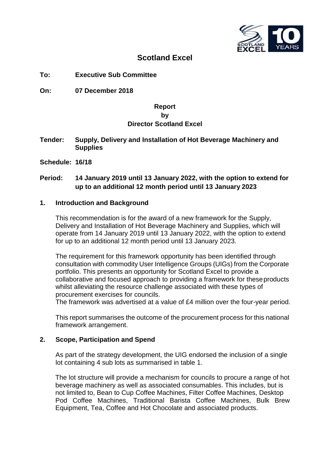

# **Scotland Excel**

- **To: Executive Sub Committee**
- **On: 07 December 2018**

#### **Report**

# **by Director Scotland Excel**

- **Tender: Supply, Delivery and Installation of Hot Beverage Machinery and Supplies**
- **Schedule: 16/18**

# **Period: 14 January 2019 until 13 January 2022, with the option to extend for up to an additional 12 month period until 13 January 2023**

#### **1. Introduction and Background**

This recommendation is for the award of a new framework for the Supply, Delivery and Installation of Hot Beverage Machinery and Supplies, which will operate from 14 January 2019 until 13 January 2022, with the option to extend for up to an additional 12 month period until 13 January 2023.

The requirement for this framework opportunity has been identified through consultation with commodity User Intelligence Groups (UIGs) from the Corporate portfolio. This presents an opportunity for Scotland Excel to provide a collaborative and focused approach to providing a framework for theseproducts whilst alleviating the resource challenge associated with these types of procurement exercises for councils.

The framework was advertised at a value of £4 million over the four-year period.

This report summarises the outcome of the procurement process for this national framework arrangement.

# **2. Scope, Participation and Spend**

As part of the strategy development, the UIG endorsed the inclusion of a single lot containing 4 sub lots as summarised in table 1.

The lot structure will provide a mechanism for councils to procure a range of hot beverage machinery as well as associated consumables. This includes, but is not limited to, Bean to Cup Coffee Machines, Filter Coffee Machines, Desktop Pod Coffee Machines, Traditional Barista Coffee Machines, Bulk Brew Equipment, Tea, Coffee and Hot Chocolate and associated products.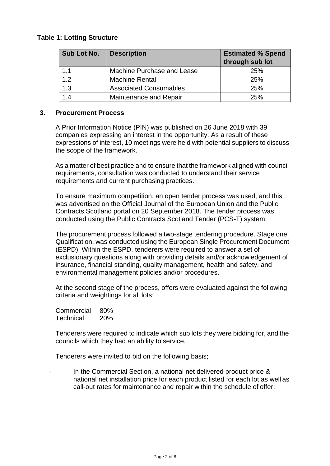# **Table 1: Lotting Structure**

| Sub Lot No. | <b>Description</b>            | <b>Estimated % Spend</b><br>through sub lot |
|-------------|-------------------------------|---------------------------------------------|
| 1.1         | Machine Purchase and Lease    | 25%                                         |
| 1.2         | <b>Machine Rental</b>         | 25%                                         |
| 1.3         | <b>Associated Consumables</b> | 25%                                         |
| 1.4         | Maintenance and Repair        | 25%                                         |

#### **3. Procurement Process**

A Prior Information Notice (PIN) was published on 26 June 2018 with 39 companies expressing an interest in the opportunity. As a result of these expressions of interest, 10 meetings were held with potential suppliers to discuss the scope of the framework.

As a matter of best practice and to ensure that the framework aligned with council requirements, consultation was conducted to understand their service requirements and current purchasing practices.

To ensure maximum competition, an open tender process was used, and this was advertised on the Official Journal of the European Union and the Public Contracts Scotland portal on 20 September 2018. The tender process was conducted using the Public Contracts Scotland Tender (PCS-T) system.

The procurement process followed a two-stage tendering procedure. Stage one, Qualification, was conducted using the European Single Procurement Document (ESPD). Within the ESPD, tenderers were required to answer a set of exclusionary questions along with providing details and/or acknowledgement of insurance, financial standing, quality management, health and safety, and environmental management policies and/or procedures.

At the second stage of the process, offers were evaluated against the following criteria and weightings for all lots:

Commercial 80% Technical 20%

Tenderers were required to indicate which sub lots they were bidding for, and the councils which they had an ability to service.

Tenderers were invited to bid on the following basis;

In the Commercial Section, a national net delivered product price & national net installation price for each product listed for each lot as well as call-out rates for maintenance and repair within the schedule of offer;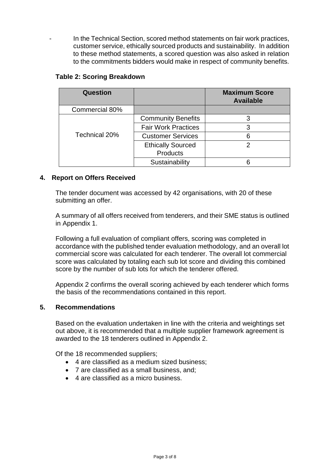In the Technical Section, scored method statements on fair work practices, customer service, ethically sourced products and sustainability. In addition to these method statements, a scored question was also asked in relation to the commitments bidders would make in respect of community benefits.

# **Table 2: Scoring Breakdown**

| Question       |                            | <b>Maximum Score</b><br><b>Available</b> |
|----------------|----------------------------|------------------------------------------|
| Commercial 80% |                            |                                          |
|                | <b>Community Benefits</b>  |                                          |
|                | <b>Fair Work Practices</b> |                                          |
| Technical 20%  | <b>Customer Services</b>   |                                          |
|                | <b>Ethically Sourced</b>   |                                          |
|                | <b>Products</b>            |                                          |
|                | Sustainability             |                                          |

# **4. Report on Offers Received**

The tender document was accessed by 42 organisations, with 20 of these submitting an offer.

A summary of all offers received from tenderers, and their SME status is outlined in Appendix 1.

Following a full evaluation of compliant offers, scoring was completed in accordance with the published tender evaluation methodology, and an overall lot commercial score was calculated for each tenderer. The overall lot commercial score was calculated by totaling each sub lot score and dividing this combined score by the number of sub lots for which the tenderer offered.

Appendix 2 confirms the overall scoring achieved by each tenderer which forms the basis of the recommendations contained in this report.

# **5. Recommendations**

Based on the evaluation undertaken in line with the criteria and weightings set out above, it is recommended that a multiple supplier framework agreement is awarded to the 18 tenderers outlined in Appendix 2.

Of the 18 recommended suppliers;

- 4 are classified as a medium sized business;
- 7 are classified as a small business, and;
- 4 are classified as a micro business.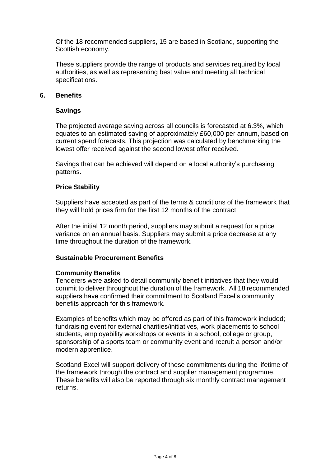Of the 18 recommended suppliers, 15 are based in Scotland, supporting the Scottish economy.

These suppliers provide the range of products and services required by local authorities, as well as representing best value and meeting all technical specifications.

### **6. Benefits**

### **Savings**

The projected average saving across all councils is forecasted at 6.3%, which equates to an estimated saving of approximately £60,000 per annum, based on current spend forecasts. This projection was calculated by benchmarking the lowest offer received against the second lowest offer received.

Savings that can be achieved will depend on a local authority's purchasing patterns.

#### **Price Stability**

Suppliers have accepted as part of the terms & conditions of the framework that they will hold prices firm for the first 12 months of the contract.

After the initial 12 month period, suppliers may submit a request for a price variance on an annual basis. Suppliers may submit a price decrease at any time throughout the duration of the framework.

#### **Sustainable Procurement Benefits**

#### **Community Benefits**

Tenderers were asked to detail community benefit initiatives that they would commit to deliver throughout the duration of the framework. All 18 recommended suppliers have confirmed their commitment to Scotland Excel's community benefits approach for this framework.

Examples of benefits which may be offered as part of this framework included; fundraising event for external charities/initiatives, work placements to school students, employability workshops or events in a school, college or group, sponsorship of a sports team or community event and recruit a person and/or modern apprentice.

Scotland Excel will support delivery of these commitments during the lifetime of the framework through the contract and supplier management programme. These benefits will also be reported through six monthly contract management returns.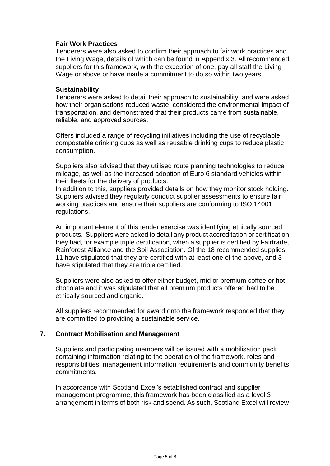## **Fair Work Practices**

Tenderers were also asked to confirm their approach to fair work practices and the Living Wage, details of which can be found in Appendix 3. Allrecommended suppliers for this framework, with the exception of one, pay all staff the Living Wage or above or have made a commitment to do so within two years.

#### **Sustainability**

Tenderers were asked to detail their approach to sustainability, and were asked how their organisations reduced waste, considered the environmental impact of transportation, and demonstrated that their products came from sustainable, reliable, and approved sources.

Offers included a range of recycling initiatives including the use of recyclable compostable drinking cups as well as reusable drinking cups to reduce plastic consumption.

Suppliers also advised that they utilised route planning technologies to reduce mileage, as well as the increased adoption of Euro 6 standard vehicles within their fleets for the delivery of products.

In addition to this, suppliers provided details on how they monitor stock holding. Suppliers advised they regularly conduct supplier assessments to ensure fair working practices and ensure their suppliers are conforming to ISO 14001 regulations.

An important element of this tender exercise was identifying ethically sourced products. Suppliers were asked to detail any product accreditation or certification they had, for example triple certification, when a supplier is certified by Fairtrade, Rainforest Alliance and the Soil Association. Of the 18 recommended supplies, 11 have stipulated that they are certified with at least one of the above, and 3 have stipulated that they are triple certified.

Suppliers were also asked to offer either budget, mid or premium coffee or hot chocolate and it was stipulated that all premium products offered had to be ethically sourced and organic.

All suppliers recommended for award onto the framework responded that they are committed to providing a sustainable service.

#### **7. Contract Mobilisation and Management**

Suppliers and participating members will be issued with a mobilisation pack containing information relating to the operation of the framework, roles and responsibilities, management information requirements and community benefits commitments.

In accordance with Scotland Excel's established contract and supplier management programme, this framework has been classified as a level 3 arrangement in terms of both risk and spend. As such, Scotland Excel will review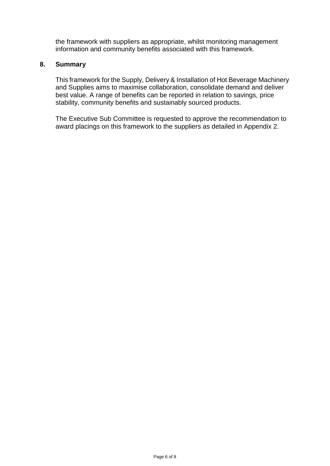the framework with suppliers as appropriate, whilst monitoring management information and community benefits associated with this framework.

#### **8. Summary**

This framework for the Supply, Delivery & Installation of Hot Beverage Machinery and Supplies aims to maximise collaboration, consolidate demand and deliver best value. A range of benefits can be reported in relation to savings, price stability, community benefits and sustainably sourced products.

The Executive Sub Committee is requested to approve the recommendation to award placings on this framework to the suppliers as detailed in Appendix 2.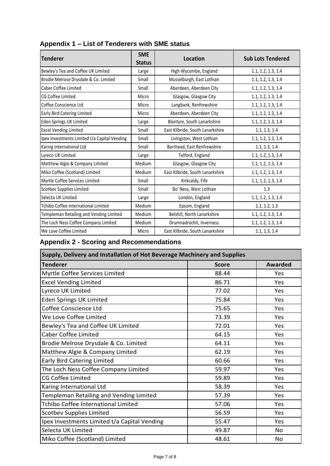| <b>Tenderer</b>                              | <b>SME</b><br><b>Status</b> | <b>Location</b>                  | <b>Sub Lots Tendered</b> |  |
|----------------------------------------------|-----------------------------|----------------------------------|--------------------------|--|
| Bewley's Tea and Coffee UK Limited           | Large                       | High Wycombe, England            | 1.1, 1.2, 1.3, 1.4       |  |
| Brodie Melrose Drysdale & Co. Limited        | Small                       | Musselburgh, East Lothian        | 1.1, 1.2, 1.3, 1.4       |  |
| Caber Coffee Limited                         | Small                       | Aberdeen, Aberdeen City          | 1.1, 1.2, 1.3, 1.4       |  |
| CG Coffee Limited                            | Micro                       | Glasgow, Glasgow City            | 1.1, 1.2, 1.3, 1.4       |  |
| Coffee Conscience Ltd                        | Micro                       | Langbank, Renfrewshire           | 1.1, 1.2, 1.3, 1.4       |  |
| Early Bird Catering Limited                  | Micro                       | Aberdeen, Aberdeen City          | 1.1, 1.2, 1.3, 1.4       |  |
| Eden Springs UK Limited                      | Large                       | Blantyre, South Lanarkshire      | 1.1, 1.2, 1.3, 1.4       |  |
| <b>Excel Vending Limited</b>                 | Small                       | East Kilbride, South Lanarkshire | 1.1, 1.3, 1.4            |  |
| Ipex Investments Limited t/a Capital Vending | Small                       | Livingston, West Lothian         | 1.1, 1.2, 1.3, 1.4       |  |
| Karing International Ltd                     | Small                       | Barrhead, East Renfrewshire      | 1.1, 1.3, 1.4            |  |
| Lyreco UK Limited                            | Large                       | Telford, England                 | 1.1, 1.2, 1.3, 1.4       |  |
| Matthew Algie & Company Limited              | Medium                      | Glasgow, Glasgow City            | 1.1, 1.2, 1.3, 1.4       |  |
| Miko Coffee (Scotland) Limited               | Medium                      | East Kilbride, South Lanarkshire | 1.1, 1.2, 1.3, 1.4       |  |
| Myrtle Coffee Services Limited               | Small                       | Kirkcaldy, Fife                  | 1.1, 1.2, 1.3, 1.4       |  |
| Scotbev Supplies Limited                     | Small                       | Bo' Ness, West Lothian           | 1.3                      |  |
| Selecta UK Limited                           | Large                       | London, England                  | 1.1, 1.2, 1.3, 1.4       |  |
| <b>Tchibo Coffee International Limited</b>   | Medium                      | Epsom, England                   | 1.1, 1.2, 1.3            |  |
| Templeman Retailing and Vending Limited      | Medium                      | Belshill, North Lanarkshire      | 1.1, 1.2, 1.3, 1.4       |  |
| The Loch Ness Coffee Company Limited         | Medium                      | Drumnadrochit, Inverness         | 1.1, 1.2, 1.3, 1.4       |  |
| We Love Coffee Limited                       | Micro                       | East Kilbride, South Lanarkshire | 1.1, 1.3, 1.4            |  |

# **Appendix 1 – List of Tenderers with SME status**

# **Appendix 2 - Scoring and Recommendations**

| Supply, Delivery and Installation of Hot Beverage Machinery and Supplies |              |                |  |  |
|--------------------------------------------------------------------------|--------------|----------------|--|--|
| <b>Tenderer</b>                                                          | <b>Score</b> | <b>Awarded</b> |  |  |
| Myrtle Coffee Services Limited                                           | 88.44        | Yes            |  |  |
| <b>Excel Vending Limited</b>                                             | 86.71        | Yes            |  |  |
| Lyreco UK Limited                                                        | 77.02        | Yes            |  |  |
| <b>Eden Springs UK Limited</b>                                           | 75.84        | Yes            |  |  |
| Coffee Conscience Ltd                                                    | 75.65        | Yes            |  |  |
| We Love Coffee Limited                                                   | 73.39        | Yes            |  |  |
| Bewley's Tea and Coffee UK Limited                                       | 72.01        | Yes            |  |  |
| <b>Caber Coffee Limited</b>                                              | 64.15        | Yes            |  |  |
| Brodie Melrose Drysdale & Co. Limited                                    | 64.11        | Yes            |  |  |
| Matthew Algie & Company Limited                                          | 62.19        | Yes            |  |  |
| <b>Early Bird Catering Limited</b>                                       | 60.66        | Yes            |  |  |
| The Loch Ness Coffee Company Limited                                     | 59.97        | Yes            |  |  |
| <b>CG Coffee Limited</b>                                                 | 59.89        | Yes            |  |  |
| Karing International Ltd                                                 | 58.39        | Yes            |  |  |
| Templeman Retailing and Vending Limited                                  | 57.39        | Yes            |  |  |
| <b>Tchibo Coffee International Limited</b>                               | 57.06        | Yes            |  |  |
| <b>Scotbev Supplies Limited</b>                                          | 56.59        | Yes            |  |  |
| Ipex Investments Limited t/a Capital Vending                             | 55.47        | Yes            |  |  |
| Selecta UK Limited                                                       | 49.87        | No             |  |  |
| Miko Coffee (Scotland) Limited                                           | 48.61        | <b>No</b>      |  |  |